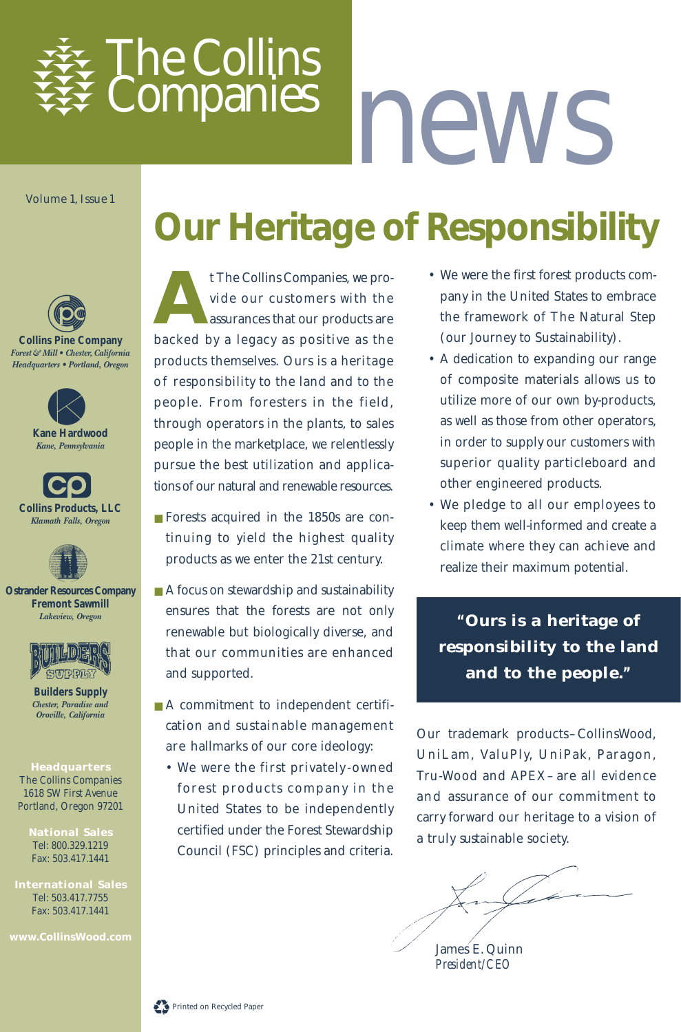

# *news*

Volume 1, Issue 1

# **Our Heritage of Responsibility**



**Collins Pine Company** *Forest & Mill • Chester, California Headquarters • Portland, Oregon*



**Collins Products, LLC** *Klamath Falls, Oregon*



**Ostrander Resources Company Fremont Sawmill** *Lakeview, Oregon*



**Builders Supply** *Chester, Paradise and Oroville, California*

#### **Headquarters**

The Collins Companies 1618 SW First Avenue Portland, Oregon 97201

> **National Sales** Tel: 800.329.1219 Fax: 503.417.1441

**International Sales** Tel: 503.417.7755 Fax: 503.417.1441

**A**t The Collins Companies, we provide our customers with the assurances that our products are backed by a legacy as positive as the products themselves. Ours is a heritage of responsibility to the land and to the people. From foresters in the field, through operators in the plants, to sales people in the marketplace, we relentlessly pursue the best utilization and applications of our natural and renewable resources.

- Forests acquired in the 1850s are continuing to yield the highest quality products as we enter the 21st century.
- A focus on stewardship and sustainability ensures that the forests are not only renewable but biologically diverse, and that our communities are enhanced and supported.
- A commitment to independent certification and sustainable management are hallmarks of our core ideology:
	- We were the first privately owned forest products company in the United States to be independently certified under the Forest Stewardship Council (FSC) principles and criteria.
- We were the first forest products company in the United States to embrace the framework of The Natural Step (our Journey to Sustainability).
- A dedication to expanding our range of composite materials allows us to utilize more of our own by-products, as well as those from other operators, in order to supply our customers with superior quality particleboard and other engineered products.
- We pledge to all our employees to keep them well-informed and create a climate where they can achieve and realize their maximum potential.

**"Ours is a heritage of responsibility to the land and to the people."**

Our trademark products–CollinsWood, UniLam, ValuPly, UniPak, Paragon, Tru-Wood and APEX– are all evidence and assurance of our commitment to carry forward our heritage to a vision of a truly sustainable society.

James E. Quinn *President/CEO*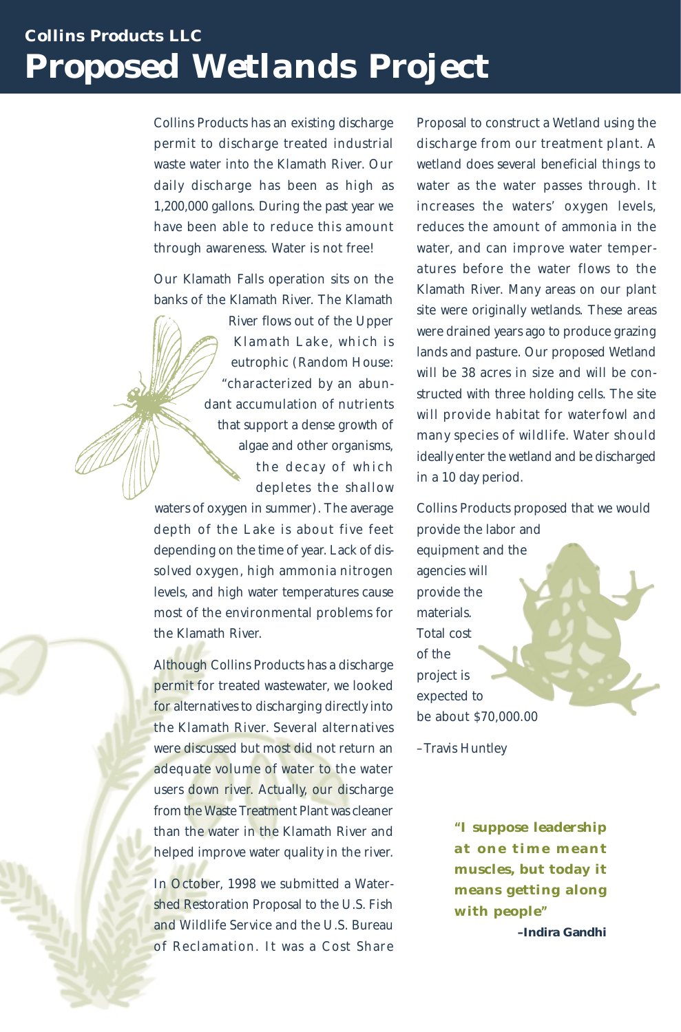# *Collins Products LLC Proposed Wetlands Project*

Collins Products has an existing discharge permit to discharge treated industrial waste water into the Klamath River. Our daily discharge has been as high as 1,200,000 gallons. During the past year we have been able to reduce this amount through awareness. Water is not free!

Our Klamath Falls operation sits on the banks of the Klamath River. The Klamath

> River flows out of the Upper Klamath Lake, which is eutrophic (Random House: "characterized by an abundant accumulation of nutrients that support a dense growth of algae and other organisms, the decay of which depletes the shallow

waters of oxygen in summer). The average depth of the Lake is about five feet depending on the time of year. Lack of dissolved oxygen, high ammonia nitrogen levels, and high water temperatures cause most of the environmental problems for the Klamath River.

Although Collins Products has a discharge permit for treated wastewater, we looked for alternatives to discharging directly into the Klamath River. Several alternatives were discussed but most did not return an adequate volume of water to the water users down river. Actually, our discharge from the Waste Treatment Plant was cleaner than the water in the Klamath River and helped improve water quality in the river.

In October, 1998 we submitted a Watershed Restoration Proposal to the U.S. Fish and Wildlife Service and the U.S. Bureau of Reclamation. It was a Cost Share

Proposal to construct a Wetland using the discharge from our treatment plant. A wetland does several beneficial things to water as the water passes through. It increases the waters' oxygen levels, reduces the amount of ammonia in the water, and can improve water temperatures before the water flows to the Klamath River. Many areas on our plant site were originally wetlands. These areas were drained years ago to produce grazing lands and pasture. Our proposed Wetland will be 38 acres in size and will be constructed with three holding cells. The site will provide habitat for waterfowl and many species of wildlife. Water should ideally enter the wetland and be discharged in a 10 day period.

Collins Products proposed that we would provide the labor and equipment and the agencies will provide the materials. Total cost of the project is expected to be about \$70,000.00

–Travis Huntley

**"I suppose leadership at one time meant muscles, but today it means getting along with people"**

**–Indira Gandhi**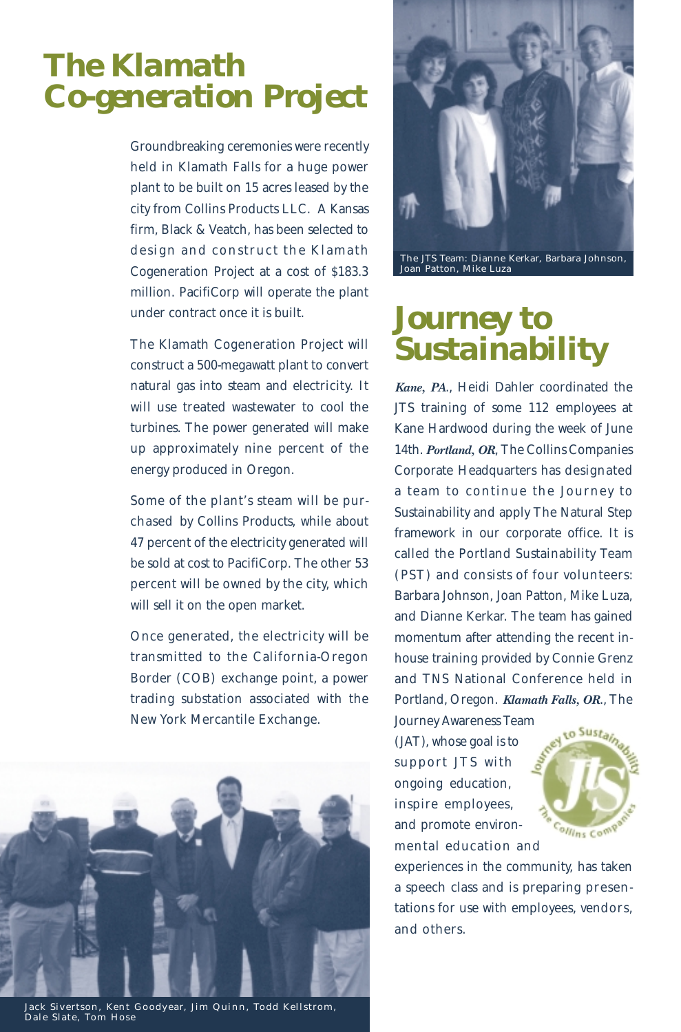# *The Klamath Co-generation Project*

Groundbreaking ceremonies were recently held in Klamath Falls for a huge power plant to be built on 15 acres leased by the city from Collins Products LLC. A Kansas firm, Black & Veatch, has been selected to design and construct the Klamath Cogeneration Project at a cost of \$183.3 million. PacifiCorp will operate the plant under contract once it is built.

The Klamath Cogeneration Project will construct a 500-megawatt plant to convert natural gas into steam and electricity. It will use treated wastewater to cool the turbines. The power generated will make up approximately nine percent of the energy produced in Oregon.

Some of the plant's steam will be purchased by Collins Products, while about 47 percent of the electricity generated will be sold at cost to PacifiCorp. The other 53 percent will be owned by the city, which will sell it on the open market.

Once generated, the electricity will be transmitted to the California-Oregon Border (COB) exchange point, a power trading substation associated with the New York Mercantile Exchange.



Jack Sivertson, Kent Goodyear, Jim Quinn, Todd Kellstrom, Dale Slate, Tom Hose



The JTS Team: Dianne Kerkar, Barbara Johnson, Joan Patton, Mike Luza

# *Journey to Sustainability*

*Kane, PA*., Heidi Dahler coordinated the JTS training of some 112 employees at Kane Hardwood during the week of June 14th. *Portland, OR*, The Collins Companies Corporate Headquarters has designated a team to continue the Journey to Sustainability and apply The Natural Step framework in our corporate office. It is called the Portland Sustainability Team (PST) and consists of four volunteers: Barbara Johnson, Joan Patton, Mike Luza, and Dianne Kerkar. The team has gained momentum after attending the recent inhouse training provided by Connie Grenz and TNS National Conference held in Portland, Oregon. *Klamath Falls, OR*., The Journey Awareness Team

(JAT), whose goal is to support JTS with ongoing education, inspire employees, and promote environmental education and



experiences in the community, has taken a speech class and is preparing presentations for use with employees, vendors, and others.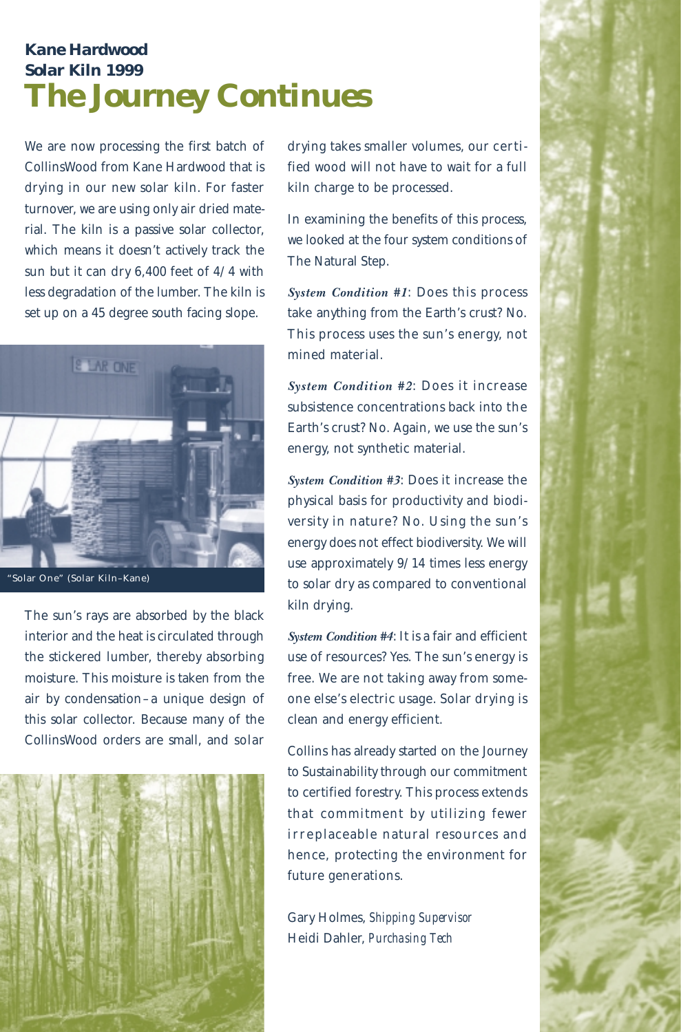## *Kane Hardwood Solar Kiln 1999 The Journey Continues*

We are now processing the first batch of CollinsWood from Kane Hardwood that is drying in our new solar kiln. For faster turnover, we are using only air dried material. The kiln is a passive solar collector, which means it doesn't actively track the sun but it can dry 6,400 feet of 4/4 with less degradation of the lumber. The kiln is set up on a 45 degree south facing slope.



"Solar One" (Solar Kiln–Kane)

The sun's rays are absorbed by the black interior and the heat is circulated through the stickered lumber, thereby absorbing moisture. This moisture is taken from the air by condensation–a unique design of this solar collector. Because many of the CollinsWood orders are small, and solar



drying takes smaller volumes, our certified wood will not have to wait for a full kiln charge to be processed.

In examining the benefits of this process, we looked at the four system conditions of The Natural Step.

*System Condition #1*: Does this process take anything from the Earth's crust? No. This process uses the sun's energy, not mined material.

*System Condition #2*: Does it increase subsistence concentrations back into the Earth's crust? No. Again, we use the sun's energy, not synthetic material.

*System Condition #3*: Does it increase the physical basis for productivity and biodiversity in nature? No. Using the sun's energy does not effect biodiversity. We will use approximately 9/14 times less energy to solar dry as compared to conventional kiln drying.

*System Condition #4*: It is a fair and efficient use of resources? Yes. The sun's energy is free. We are not taking away from someone else's electric usage. Solar drying is clean and energy efficient.

Collins has already started on the Journey to Sustainability through our commitment to certified forestry. This process extends that commitment by utilizing fewer irreplaceable natural resources and hence, protecting the environment for future generations.

Gary Holmes, *Shipping Supervisor* Heidi Dahler, *Purchasing Tech*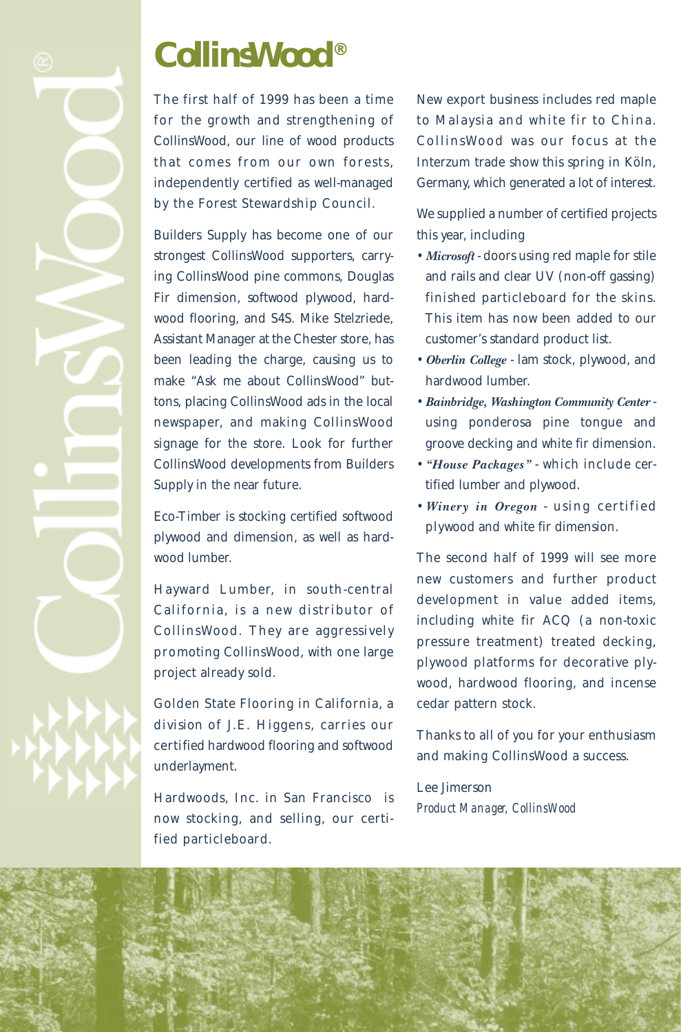# *CollinsWood®*

The first half of 1999 has been a time for the growth and strengthening of CollinsWood, our line of wood products that comes from our own forests, independently certified as well-managed by the Forest Stewardship Council.

Builders Supply has become one of our strongest CollinsWood supporters, carrying CollinsWood pine commons, Douglas Fir dimension, softwood plywood, hardwood flooring, and S4S. Mike Stelzriede, Assistant Manager at the Chester store, has been leading the charge, causing us to make "Ask me about CollinsWood" buttons, placing CollinsWood ads in the local newspaper, and making CollinsWood signage for the store. Look for further CollinsWood developments from Builders Supply in the near future.

Eco-Timber is stocking certified softwood plywood and dimension, as well as hardwood lumber.

Hayward Lumber, in south-central California, is a new distributor of CollinsWood. They are aggressively promoting CollinsWood, with one large project already sold.

Golden State Flooring in California, a division of J.E. Higgens, carries our certified hardwood flooring and softwood underlayment.

Hardwoods, Inc. in San Francisco is now stocking, and selling, our certified particleboard.

New export business includes red maple to Malaysia and white fir to China. CollinsWood was our focus at the Interzum trade show this spring in Köln, Germany, which generated a lot of interest.

We supplied a number of certified projects this year, including

- *Microsoft* doors using red maple for stile and rails and clear UV (non-off gassing) finished particleboard for the skins. This item has now been added to our customer's standard product list.
- *Oberlin College* lam stock, plywood, and hardwood lumber.
- *Bainbridge, Washington Community Center* using ponderosa pine tongue and groove decking and white fir dimension.
- *"House Packages"* which include certified lumber and plywood.
- *Winery in Oregon* using certified plywood and white fir dimension.

The second half of 1999 will see more new customers and further product development in value added items, including white fir ACQ (a non-toxic pressure treatment) treated decking, plywood platforms for decorative plywood, hardwood flooring, and incense cedar pattern stock.

Thanks to all of you for your enthusiasm and making CollinsWood a success.

Lee Jimerson *Product Manager, CollinsWood*